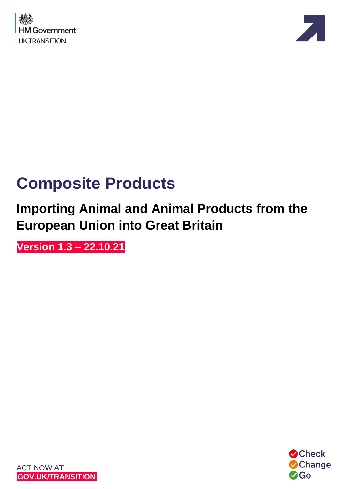



# **Composite Products**

## **Importing Animal and Animal Products from the European Union into Great Britain**

**Version 1.3 – 22.10.21**



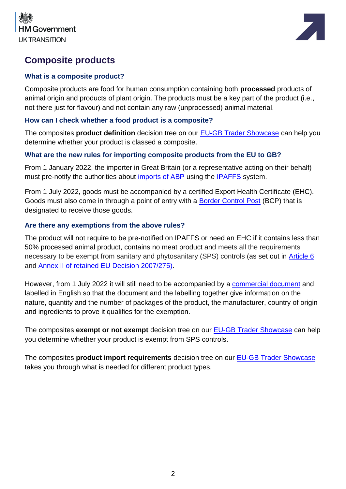



### **Composite products**

#### **What is a composite product?**

Composite products are food for human consumption containing both **processed** products of animal origin and products of plant origin. The products must be a key part of the product (i.e., not there just for flavour) and not contain any raw (unprocessed) animal material.

#### **How can I check whether a food product is a composite?**

The composites **product definition** decision tree on our [EU-GB Trader Showcase](https://www.dropbox.com/scl/fi/nkg4nltxghurtqp9oncp3/Moving-Goods-from-the-European-Union-into-Great-Britain.-New-Requirements-from-January-2022.paper?dl=0&rlkey=xe77te92f6adbnez96b4h26s8) can help you determine whether your product is classed a composite.

#### **What are the new rules for importing composite products from the EU to GB?**

From 1 January 2022, the importer in Great Britain (or a representative acting on their behalf) must pre-notify the authorities about [imports of ABP](https://www.gov.uk/guidance/importing-or-moving-live-animals-animal-products-and-high-risk-food-and-feed-not-of-animal-origin#animal-by-products) using the [IPAFFS](https://www.gov.uk/guidance/import-of-products-animals-food-and-feed-system) system.

From 1 July 2022, goods must be accompanied by a certified Export Health Certificate (EHC). Goods must also come in through a point of entry with a [Border Control Post](https://www.gov.uk/government/publications/uk-border-control-posts-animal-and-animal-product-imports) (BCP) that is designated to receive those goods.

#### **Are there any exemptions from the above rules?**

The product will not require to be pre-notified on IPAFFS or need an EHC if it contains less than 50% processed animal product, contains no meat product and meets all the requirements necessary to be exempt from sanitary and phytosanitary (SPS) controls (as set out in [Article 6](https://www.legislation.gov.uk/eudn/2007/275/article/6) and [Annex II of retained EU Decision 2007/275\)](http://apha.defra.gov.uk/documents/bip/iin/cp-1.pdf).

However, from 1 July 2022 it will still need to be accompanied by a [commercial document](https://www.gov.uk/guidance/import-or-move-composite-products-from-the-eu-and-northern-ireland-to-great-britain#commercial-documents) and labelled in English so that the document and the labelling together give information on the nature, quantity and the number of packages of the product, the manufacturer, country of origin and ingredients to prove it qualifies for the exemption.

The composites **exempt or not exempt** decision tree on our [EU-GB Trader Showcase](https://www.dropbox.com/scl/fi/nkg4nltxghurtqp9oncp3/Moving-Goods-from-the-European-Union-into-Great-Britain.-New-Requirements-from-January-2022.paper?dl=0&rlkey=xe77te92f6adbnez96b4h26s8) can help you determine whether your product is exempt from SPS controls.

The composites **product import requirements** decision tree on our [EU-GB Trader Showcase](https://www.dropbox.com/scl/fi/nkg4nltxghurtqp9oncp3/Moving-Goods-from-the-European-Union-into-Great-Britain.-New-Requirements-from-January-2022.paper?dl=0&rlkey=xe77te92f6adbnez96b4h26s8) takes you through what is needed for different product types.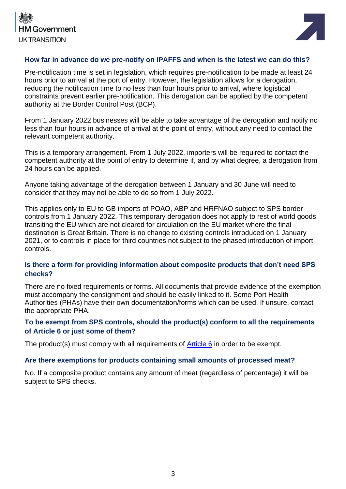



#### **How far in advance do we pre-notify on IPAFFS and when is the latest we can do this?**

Pre-notification time is set in legislation, which requires pre-notification to be made at least 24 hours prior to arrival at the port of entry. However, the legislation allows for a derogation, reducing the notification time to no less than four hours prior to arrival, where logistical constraints prevent earlier pre-notification. This derogation can be applied by the competent authority at the Border Control Post (BCP).

From 1 January 2022 businesses will be able to take advantage of the derogation and notify no less than four hours in advance of arrival at the point of entry, without any need to contact the relevant competent authority.

This is a temporary arrangement. From 1 July 2022, importers will be required to contact the competent authority at the point of entry to determine if, and by what degree, a derogation from 24 hours can be applied.

Anyone taking advantage of the derogation between 1 January and 30 June will need to consider that they may not be able to do so from 1 July 2022.

This applies only to EU to GB imports of POAO, ABP and HRFNAO subject to SPS border controls from 1 January 2022. This temporary derogation does not apply to rest of world goods transiting the EU which are not cleared for circulation on the EU market where the final destination is Great Britain. There is no change to existing controls introduced on 1 January 2021, or to controls in place for third countries not subject to the phased introduction of import controls.

#### **Is there a form for providing information about composite products that don't need SPS checks?**

There are no fixed requirements or forms. All documents that provide evidence of the exemption must accompany the consignment and should be easily linked to it. Some Port Health Authorities (PHAs) have their own documentation/forms which can be used. If unsure, contact the appropriate PHA.

#### **To be exempt from SPS controls, should the product(s) conform to all the requirements of Article 6 or just some of them?**

The product(s) must comply with all requirements of [Article 6](https://www.legislation.gov.uk/eudn/2007/275/article/6) in order to be exempt.

#### **Are there exemptions for products containing small amounts of processed meat?**

No. If a composite product contains any amount of meat (regardless of percentage) it will be subject to SPS checks.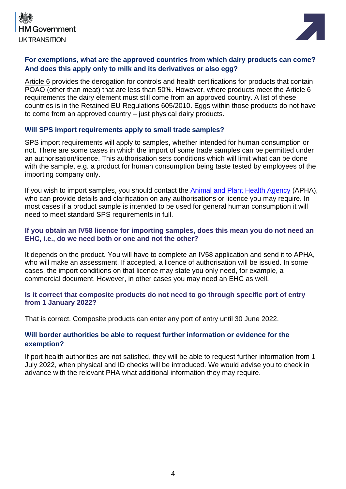



#### **For exemptions, what are the approved countries from which dairy products can come? And does this apply only to milk and its derivatives or also egg?**

[Article 6](https://www.legislation.gov.uk/eudn/2007/275/article/6) provides the derogation for controls and health certifications for products that contain POAO (other than meat) that are less than 50%. However, where products meet the Article 6 requirements the dairy element must still come from an approved country. A list of these countries is in the [Retained EU Regulations 605/2010.](https://www.dropbox.com/scl/fi/nkg4nltxghurtqp9oncp3/Moving-Goods-from-the-European-Union-into-Great-Britain.-New-Requirements-from-October-2021.paper?dl=0&rlkey=xe77te92f6adbnez96b4h26s8#:h2=Slide-Pack---Composite-Product) Eggs within those products do not have to come from an approved country – just physical dairy products.

#### **Will SPS import requirements apply to small trade samples?**

SPS import requirements will apply to samples, whether intended for human consumption or not. There are some cases in which the import of some trade samples can be permitted under an authorisation/licence. This authorisation sets conditions which will limit what can be done with the sample, e.g. a product for human consumption being taste tested by employees of the importing company only.

If you wish to import samples, you should contact the [Animal and Plant Health Agency](https://www.gov.uk/guidance/get-an-export-health-certificate#if-you-need-help) (APHA), who can provide details and clarification on any authorisations or licence you may require. In most cases if a product sample is intended to be used for general human consumption it will need to meet standard SPS requirements in full.

#### **If you obtain an IV58 licence for importing samples, does this mean you do not need an EHC, i.e., do we need both or one and not the other?**

It depends on the product. You will have to complete an IV58 application and send it to APHA, who will make an assessment. If accepted, a licence of authorisation will be issued. In some cases, the import conditions on that licence may state you only need, for example, a commercial document. However, in other cases you may need an EHC as well.

#### **Is it correct that composite products do not need to go through specific port of entry from 1 January 2022?**

That is correct. Composite products can enter any port of entry until 30 June 2022.

#### **Will border authorities be able to request further information or evidence for the exemption?**

If port health authorities are not satisfied, they will be able to request further information from 1 July 2022, when physical and ID checks will be introduced. We would advise you to check in advance with the relevant PHA what additional information they may require.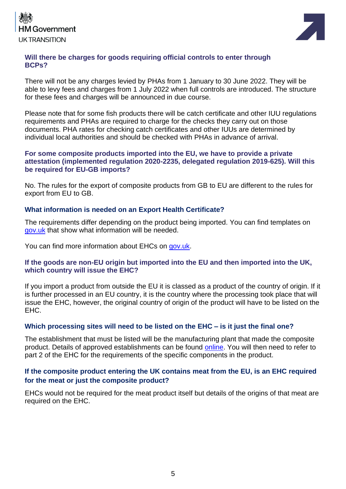



#### **Will there be charges for goods requiring official controls to enter through BCPs?**

There will not be any charges levied by PHAs from 1 January to 30 June 2022. They will be able to levy fees and charges from 1 July 2022 when full controls are introduced. The structure for these fees and charges will be announced in due course.

Please note that for some fish products there will be catch certificate and other IUU regulations requirements and PHAs are required to charge for the checks they carry out on those documents. PHA rates for checking catch certificates and other IUUs are determined by individual local authorities and should be checked with PHAs in advance of arrival.

#### **For some composite products imported into the EU, we have to provide a private attestation (implemented regulation 2020-2235, delegated regulation 2019-625). Will this be required for EU-GB imports?**

No. The rules for the export of composite products from GB to EU are different to the rules for export from EU to GB.

#### **What information is needed on an Export Health Certificate?**

The requirements differ depending on the product being imported. You can find templates on [gov.uk](https://www.gov.uk/government/collections/health-certificates-for-animal-and-animal-product-imports-to-great-britain) that show what information will be needed.

You can find more information about EHCs on [gov.uk.](https://www.gov.uk/guidance/get-an-export-health-certificate)

#### **If the goods are non-EU origin but imported into the EU and then imported into the UK, which country will issue the EHC?**

If you import a product from outside the EU it is classed as a product of the country of origin. If it is further processed in an EU country, it is the country where the processing took place that will issue the EHC, however, the original country of origin of the product will have to be listed on the EHC.

#### **Which processing sites will need to be listed on the EHC – is it just the final one?**

The establishment that must be listed will be the manufacturing plant that made the composite product. Details of approved establishments can be found [online.](https://ec.europa.eu/food/safety/biological-safety/food-hygiene/approved-eu-food-establishments_en) You will then need to refer to part 2 of the EHC for the requirements of the specific components in the product.

#### **If the composite product entering the UK contains meat from the EU, is an EHC required for the meat or just the composite product?**

EHCs would not be required for the meat product itself but details of the origins of that meat are required on the EHC.